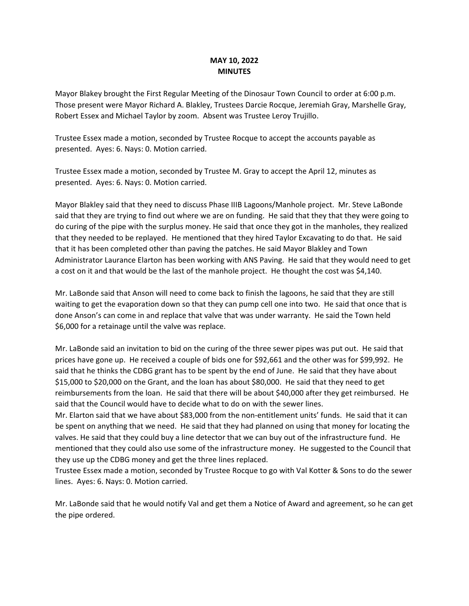## **MAY 10, 2022 MINUTES**

Mayor Blakey brought the First Regular Meeting of the Dinosaur Town Council to order at 6:00 p.m. Those present were Mayor Richard A. Blakley, Trustees Darcie Rocque, Jeremiah Gray, Marshelle Gray, Robert Essex and Michael Taylor by zoom. Absent was Trustee Leroy Trujillo.

Trustee Essex made a motion, seconded by Trustee Rocque to accept the accounts payable as presented. Ayes: 6. Nays: 0. Motion carried.

Trustee Essex made a motion, seconded by Trustee M. Gray to accept the April 12, minutes as presented. Ayes: 6. Nays: 0. Motion carried.

Mayor Blakley said that they need to discuss Phase IIIB Lagoons/Manhole project. Mr. Steve LaBonde said that they are trying to find out where we are on funding. He said that they that they were going to do curing of the pipe with the surplus money. He said that once they got in the manholes, they realized that they needed to be replayed. He mentioned that they hired Taylor Excavating to do that. He said that it has been completed other than paving the patches. He said Mayor Blakley and Town Administrator Laurance Elarton has been working with ANS Paving. He said that they would need to get a cost on it and that would be the last of the manhole project. He thought the cost was \$4,140.

Mr. LaBonde said that Anson will need to come back to finish the lagoons, he said that they are still waiting to get the evaporation down so that they can pump cell one into two. He said that once that is done Anson's can come in and replace that valve that was under warranty. He said the Town held \$6,000 for a retainage until the valve was replace.

Mr. LaBonde said an invitation to bid on the curing of the three sewer pipes was put out. He said that prices have gone up. He received a couple of bids one for \$92,661 and the other was for \$99,992. He said that he thinks the CDBG grant has to be spent by the end of June. He said that they have about \$15,000 to \$20,000 on the Grant, and the loan has about \$80,000. He said that they need to get reimbursements from the loan. He said that there will be about \$40,000 after they get reimbursed. He said that the Council would have to decide what to do on with the sewer lines.

Mr. Elarton said that we have about \$83,000 from the non-entitlement units' funds. He said that it can be spent on anything that we need. He said that they had planned on using that money for locating the valves. He said that they could buy a line detector that we can buy out of the infrastructure fund. He mentioned that they could also use some of the infrastructure money. He suggested to the Council that they use up the CDBG money and get the three lines replaced.

Trustee Essex made a motion, seconded by Trustee Rocque to go with Val Kotter & Sons to do the sewer lines. Ayes: 6. Nays: 0. Motion carried.

Mr. LaBonde said that he would notify Val and get them a Notice of Award and agreement, so he can get the pipe ordered.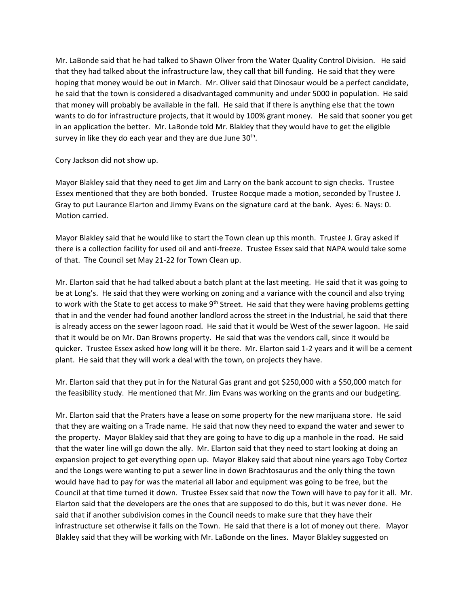Mr. LaBonde said that he had talked to Shawn Oliver from the Water Quality Control Division. He said that they had talked about the infrastructure law, they call that bill funding. He said that they were hoping that money would be out in March. Mr. Oliver said that Dinosaur would be a perfect candidate, he said that the town is considered a disadvantaged community and under 5000 in population. He said that money will probably be available in the fall. He said that if there is anything else that the town wants to do for infrastructure projects, that it would by 100% grant money. He said that sooner you get in an application the better. Mr. LaBonde told Mr. Blakley that they would have to get the eligible survey in like they do each year and they are due June  $30<sup>th</sup>$ .

Cory Jackson did not show up.

Mayor Blakley said that they need to get Jim and Larry on the bank account to sign checks. Trustee Essex mentioned that they are both bonded. Trustee Rocque made a motion, seconded by Trustee J. Gray to put Laurance Elarton and Jimmy Evans on the signature card at the bank. Ayes: 6. Nays: 0. Motion carried.

Mayor Blakley said that he would like to start the Town clean up this month. Trustee J. Gray asked if there is a collection facility for used oil and anti-freeze. Trustee Essex said that NAPA would take some of that. The Council set May 21-22 for Town Clean up.

Mr. Elarton said that he had talked about a batch plant at the last meeting. He said that it was going to be at Long's. He said that they were working on zoning and a variance with the council and also trying to work with the State to get access to make 9<sup>th</sup> Street. He said that they were having problems getting that in and the vender had found another landlord across the street in the Industrial, he said that there is already access on the sewer lagoon road. He said that it would be West of the sewer lagoon. He said that it would be on Mr. Dan Browns property. He said that was the vendors call, since it would be quicker. Trustee Essex asked how long will it be there. Mr. Elarton said 1-2 years and it will be a cement plant. He said that they will work a deal with the town, on projects they have.

Mr. Elarton said that they put in for the Natural Gas grant and got \$250,000 with a \$50,000 match for the feasibility study. He mentioned that Mr. Jim Evans was working on the grants and our budgeting.

Mr. Elarton said that the Praters have a lease on some property for the new marijuana store. He said that they are waiting on a Trade name. He said that now they need to expand the water and sewer to the property. Mayor Blakley said that they are going to have to dig up a manhole in the road. He said that the water line will go down the ally. Mr. Elarton said that they need to start looking at doing an expansion project to get everything open up. Mayor Blakey said that about nine years ago Toby Cortez and the Longs were wanting to put a sewer line in down Brachtosaurus and the only thing the town would have had to pay for was the material all labor and equipment was going to be free, but the Council at that time turned it down. Trustee Essex said that now the Town will have to pay for it all. Mr. Elarton said that the developers are the ones that are supposed to do this, but it was never done. He said that if another subdivision comes in the Council needs to make sure that they have their infrastructure set otherwise it falls on the Town. He said that there is a lot of money out there. Mayor Blakley said that they will be working with Mr. LaBonde on the lines. Mayor Blakley suggested on